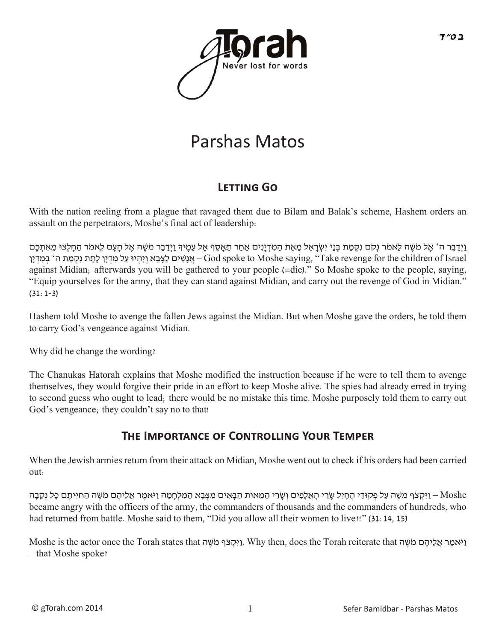

# Parshas Matos

### **Letting Go**

With the nation reeling from a plague that ravaged them due to Bilam and Balak's scheme, Hashem orders an assault on the perpetrators, Moshe's final act of leadership:

וַיְדַבֶר ה' אֵל מֹשֶׁה לֵאמֹר נְקֹם נִקְמַת בְּנֵי יִשְׂרָאֱל מֵאֶת הַמִּדְיָנִים אַחַר תֵאֲסֶף אֶל עַמֵיךְ וַיִדְבֵר מֹשֶׁה אֵל הַעָּם לֵאמֹר הֶחַלְצוּ מֵאִתְּכֶם Israel of children the for revenge Take ",saying Moshe to spoke God – אֲ נָשִ ׁים לַצָ ּבָ א וְ יִהְ יּו עַ ל מִ דְ יָן לָתֵ ת נִקְ מַ ת ה' בְ ּמִ דְ יָן against Midian; afterwards you will be gathered to your people (=die)." So Moshe spoke to the people, saying, "Equip yourselves for the army, that they can stand against Midian, and carry out the revenge of God in Midian."  $(31:1-3)$ 

Hashem told Moshe to avenge the fallen Jews against the Midian. But when Moshe gave the orders, he told them to carry God's vengeance against Midian.

Why did he change the wording?

The Chanukas Hatorah explains that Moshe modified the instruction because if he were to tell them to avenge themselves, they would forgive their pride in an effort to keep Moshe alive. The spies had already erred in trying to second guess who ought to lead; there would be no mistake this time. Moshe purposely told them to carry out God's vengeance; they couldn't say no to that!

#### **THE IMPORTANCE OF CONTROLLING YOUR TEMPER**

When the Jewish armies return from their attack on Midian, Moshe went out to check if his orders had been carried out:

Moshe – ויקצֹף מֹשֶׁה עַל פִקְוּדִי הַחִיל שַׂרִי הַאַלְפִים וְשְׂרִי הַמַּאוֹת הַבְּאִים מִצְבַא הַמַּלְחָמַה וִיאָמַר אַלִיהֶם מֹשֶׁה הַחִיּיתֶם כִּל נִקְבָה became angry with the officers of the army, the commanders of thousands and the commanders of hundreds, who had returned from battle. Moshe said to them, "Did you allow all their women to live!!" (31:14, 15)

וַיִּקְצֹף מֹשֵׁה Why then, does the Torah reiterate that וַיֹּאמֵר אֲלֵיהֶם מֹשֵׁה Moshe is the actor once the Torah states that – that Moshe spoke?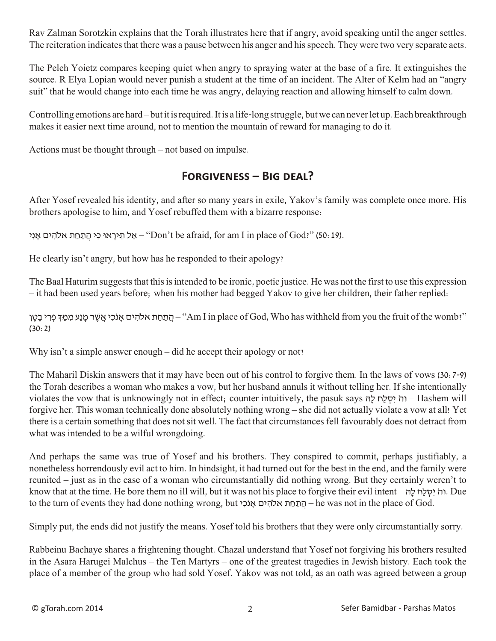Rav Zalman Sorotzkin explains that the Torah illustrates here that if angry, avoid speaking until the anger settles. The reiteration indicates that there was a pause between his anger and his speech. They were two very separate acts.

The Peleh Yoietz compares keeping quiet when angry to spraying water at the base of a fire. It extinguishes the source. R Elya Lopian would never punish a student at the time of an incident. The Alter of Kelm had an "angry suit" that he would change into each time he was angry, delaying reaction and allowing himself to calm down.

Controlling emotions are hard – but it is required. It is a life-long struggle, but we can never let up. Each breakthrough makes it easier next time around, not to mention the mountain of reward for managing to do it.

Actions must be thought through – not based on impulse.

#### **Forgiveness – Big deal?**

After Yosef revealed his identity, and after so many years in exile, Yakov's family was complete once more. His brothers apologise to him, and Yosef rebuffed them with a bizarre response:

אַל תִּירָאוּ כִּי הֲתַחַת אלהִים אָנִי – "Don't be afraid, for am I in place of God?" (50: 19).

He clearly isn't angry, but how has he responded to their apology?

The Baal Haturim suggests that this is intended to be ironic, poetic justice. He was not the first to use this expression – it had been used years before; when his mother had begged Yakov to give her children, their father replied:

הַתֲחַת אלהִים אֲנֹכִי אֲשֶׁר מַנַע מִמֵדְּ פְרִי בָטֵן – "Am I in place of God, Who has withheld from you the fruit of the womb?" (30:2)

Why isn't a simple answer enough – did he accept their apology or not?

The Maharil Diskin answers that it may have been out of his control to forgive them. In the laws of vows (30:7-9) the Torah describes a woman who makes a vow, but her husband annuls it without telling her. If she intentionally violates the vow that is unknowingly not in effect; counter intuitively, the pasuk says הָּל חַל ְסִי ֹוה – Hashem will forgive her. This woman technically done absolutely nothing wrong – she did not actually violate a vow at all! Yet there is a certain something that does not sit well. The fact that circumstances fell favourably does not detract from what was intended to be a wilful wrongdoing.

And perhaps the same was true of Yosef and his brothers. They conspired to commit, perhaps justifiably, a nonetheless horrendously evil act to him. In hindsight, it had turned out for the best in the end, and the family were reunited – just as in the case of a woman who circumstantially did nothing wrong. But they certainly weren't to know that at the time. He bore them no ill will, but it was not his place to forgive their evil intent – הָּל חַל ְסִי ֹוה. Due to the turn of events they had done nothing wrong, but י הֲתַחַת אלֹהִים – he was not in the place of God.

Simply put, the ends did not justify the means. Yosef told his brothers that they were only circumstantially sorry.

Rabbeinu Bachaye shares a frightening thought. Chazal understand that Yosef not forgiving his brothers resulted in the Asara Harugei Malchus – the Ten Martyrs – one of the greatest tragedies in Jewish history. Each took the place of a member of the group who had sold Yosef. Yakov was not told, as an oath was agreed between a group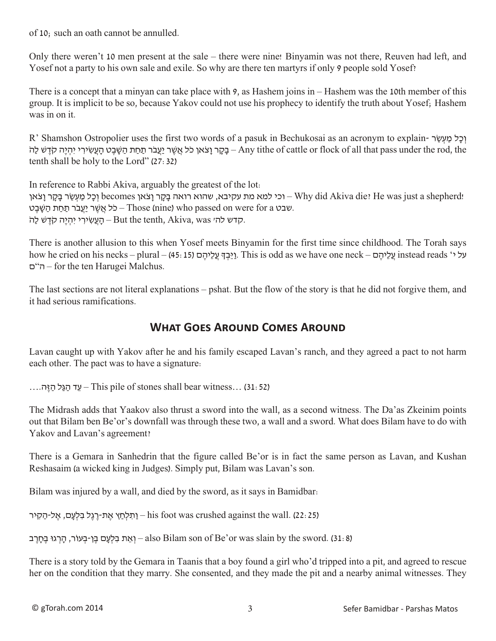of 10; such an oath cannot be annulled.

Only there weren't 10 men present at the sale – there were nine! Binyamin was not there, Reuven had left, and Yosef not a party to his own sale and exile. So why are there ten martyrs if only 9 people sold Yosef?

There is a concept that a minyan can take place with 9, as Hashem joins in – Hashem was the 10th member of this group. It is implicit to be so, because Yakov could not use his prophecy to identify the truth about Yosef; Hashem was in on it.

R' Shamshon Ostropolier uses the first two words of a pasuk in Bechukosai as an acronym to explain- וְכַל מַעְשׂ בָקָר וַצֹּאן כֹּל אֲשֶׁר יַעֲבֹר תַּחַת הַשָּׁבֵט הַעֲשִׂירִי יִהְיֶה קֹדֶשׁ לַה – Any tithe of cattle or flock of all that pass under the rod, the tenth shall be holy to the Lord" (27:32)

In reference to Rabbi Akiva, arguably the greatest of the lot:

וכל מַעְשֶׂר בַּקָר וַצֹאן becomes פְל וַכְּל מַעְשֶׂר בַּקָר Lyhy did Akiva die? He was just a shepherd! שבט a Those (nine) who passed on were for a – כֹּל אֲשֶׁר יַעֲבֹר תַּחַת הַשֶּׁבֵט. קדש לה׳ שמז) – But the tenth, Akiva, was הָדִש לה

There is another allusion to this when Yosef meets Binyamin for the first time since childhood. The Torah says how he cried on his necks – plural – (45: בְּבְךָּ עֲלֵיהֶם Instead as we have one neck – על י $\frac{1}{2}$  instead reads 'י על ם"ה – for the ten Harugei Malchus.

The last sections are not literal explanations – pshat. But the flow of the story is that he did not forgive them, and it had serious ramifications.

#### **What Goes Around Comes Around**

Lavan caught up with Yakov after he and his family escaped Lavan's ranch, and they agreed a pact to not harm each other. The pact was to have a signature:

 $\dots$ יך הַגַּל הַיֵּה $-$ This pile of stones shall bear witness $\dots$  (31: 52)

The Midrash adds that Yaakov also thrust a sword into the wall, as a second witness. The Da'as Zkeinim points out that Bilam ben Be'or's downfall was through these two, a wall and a sword. What does Bilam have to do with Yakov and Lavan's agreement?

There is a Gemara in Sanhedrin that the figure called Be'or is in fact the same person as Lavan, and Kushan Reshasaim (a wicked king in Judges). Simply put, Bilam was Lavan's son.

Bilam was injured by a wall, and died by the sword, as it says in Bamidbar:

ן הַלְחֵץ אֶת-רֶגֶל בִלְעָם, אֱל-הַקִיר his foot was crushed against the wall. (22: 25)

ן אֵת בִלְעָם בֵן-בְעוֹר, הַרְגוּ בֵחָרֵב (31:8) – also Bilam son of Be'or was slain by the sword.

There is a story told by the Gemara in Taanis that a boy found a girl who'd tripped into a pit, and agreed to rescue her on the condition that they marry. She consented, and they made the pit and a nearby animal witnesses. They